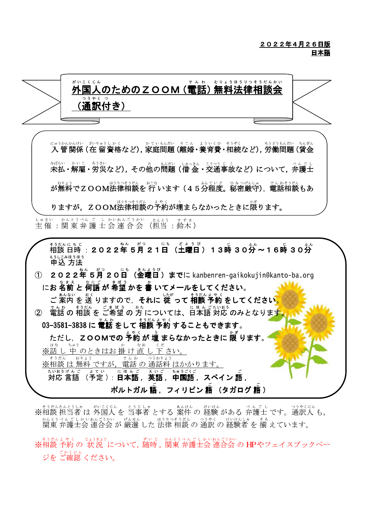### 2022年4月26日版 日本語



※相談 担当者 は 外国人 を 当事者 とする 案件 の 経験 がある 弁護士 です。通訳人 も, 関東 弁護士会 連合会 が 厳選 した 法律 相談 の 通訳 の 経験者 を 揃 えています。

、そうだんよゃく、 じょうきょう<br>※相談 予約 の 状況 について, 随時, 関東 弁護士会 連合会 の HPやフェイスブックペー ジをご確認ください。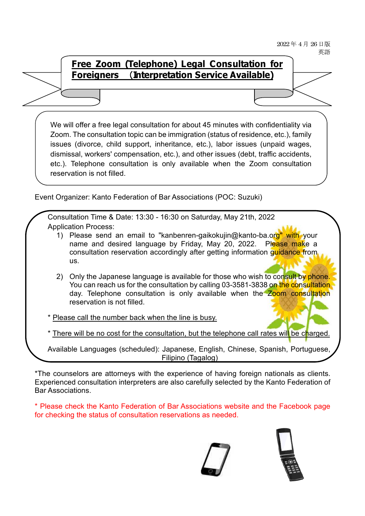2022年4月26日版 革語

## **Free Zoom (Telephone) Legal Consultation for Foreigners Interpretation Service Available)**

We will offer a free legal consultation for about 45 minutes with confidentiality via Zoom. The consultation topic can be immigration (status of residence, etc.), family issues (divorce, child support, inheritance, etc.), labor issues (unpaid wages, dismissal, workers' compensation, etc.), and other issues (debt, traffic accidents, etc.). Telephone consultation is only available when the Zoom consultation reservation is not filled.

Event Organizer: Kanto Federation of Bar Associations (POC: Suzuki)

Consultation Time & Date: 13:30 - 16:30 on Saturday, May 21th, 2022 Application Process:

- 1) Please send an email to "[kanbenren-gaikokujin@kanto-ba.org"](mailto:kanbenren-gaikokujin@kanto-ba.org) with your name and desired language by Friday, May 20, 2022. Please make a consultation reservation accordingly after getting information quidance from us.
- 2) Only the Japanese language is available for those who wish to consult by phone. You can reach us for the consultation by calling 03-3581-3838 on the consultation day. Telephone consultation is only available when the Zoom consultation reservation is not filled.
- Please call the number back when the line is busy.

\* There will be no cost for the consultation, but the telephone call rates will be charged.

Available Languages (scheduled): Japanese, English, Chinese, Spanish, Portuguese, Filipino (Tagalog)

\*The counselors are attorneys with the experience of having foreign nationals as clients. Experienced consultation interpreters are also carefully selected by the Kanto Federation of Bar Associations.

\* Please check the Kanto Federation of Bar Associations website and the Facebook page for checking the status of consultation reservations as needed.

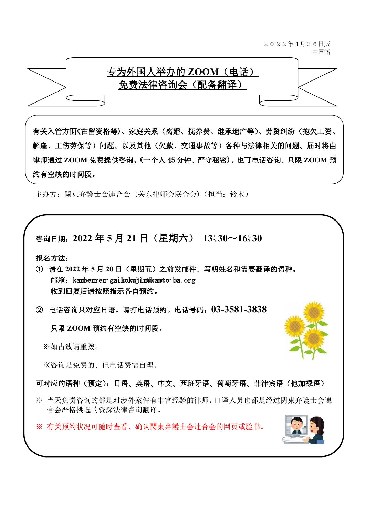

有关入管方面(在留资格等)、家庭关系(离婚、抚养费、继承遗产等)、劳资纠纷(拖欠工资、 解雇、工伤劳保等)问题、以及其他(欠款、交通事故等)各种与法律相关的问题、届时将由 律师通过 ZOOM 免费提供咨询。 (一个人 45 分钟、严守秘密)。也可电话咨询、只限 ZOOM 预 约有空缺的时间段。

主办方: 関東弁護士会連合会(关东律师会联合会)(担当: 铃木)



报名方法:

- **2022 5 20** m/箱: [kanbenren-](mailto:kanbenren-gaikokujin@kanto-ba.org)gai kokuji in@kanto-ba. org 收到回复后请按照指示各自预约。
- **03-3581-3838**

只限 ZOOM 预约有空缺的时间段。

※如占线请重拨。

※咨询是免费的、但电话费需自理。

## 可对应的语种(预定):日语、英语、中文、西班牙语、葡萄牙语、菲律宾语(他加禄语)

- ※ 当天负责咨询的都是对涉外案件有丰富经验的律师。口译人员也都是经过関東弁護士会連 合会严格挑选的资深法律咨询翻译。
- ※ 有关预约状况可随时查看、确认関東弁護士会連合会的网页或脸书。

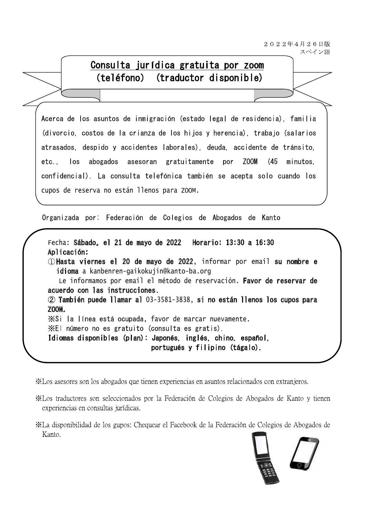2022年4月26日版 スペイン語

#### Consulta jurídica gratuita por zoom  $(teléfono)$ (traductor disponible)

Acerca de los asuntos de inmigración (estado legal de residencia), familia (divorcio, costos de la crianza de los hijos y herencia), trabajo (salarios atrasados, despido y accidentes (aborales), deuda, accidente de tránsito, etc.  $\log$ abogados asesoran gratuitamente por ZOOM  $(45)$ minutos. confidencial). La consulta telefónica también se acepta solo cuando los cupos de reserva no están llenos para ZOOM.

Organizada por: Federación de Colegios de Abogados de Kanto

Fecha: Sábado, el 21 de mayo de 2022 Horario: 13:30 a 16:30 Aplicación: Hasta viernes el 20 de mayo de 2022, informar por email su nombre e idioma a [kanbenren-gaikokujin@kanto-ba.org](mailto:kanbenren-gaikokujin@kanto-ba.org) Le informamos por email el método de reservación. Favor de reservar de acuerdo con las instrucciones. También puede llamar al 03-3581-3838, si no están llenos los cupos para ZOOM. XSi la línea está ocupada, favor de marcar nuevamente. XEI número no es gratuito (consulta es gratis). Idiomas disponibles (plan): Japonés, inglés, chino, español, portugués y filipino (tágalo).

XLos asesores son los abogados que tienen experiencias en asuntos relacionados con extranjeros.

XLos traductores son seleccionados por la Federación de Colegios de Abogados de Kanto y tienen experiencias en consultas jurídicas.

XI a disponibilidad de los gupos: Chequear el Facebook de la Federación de Colegios de Abogados de Kanto.

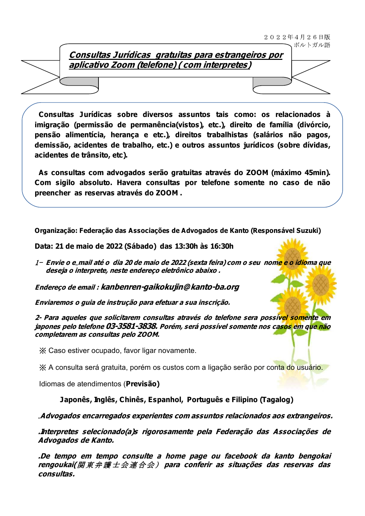## **Consultas Jurídicas gratuitas para estrangeiros por aplicativo Zoom (telefone) ( com interpretes)**

**Consultas Jurídicas sobre diversos assuntos tais como: os relacionados à imigração (permissão de permanência(vistos), etc.), direito de família (divórcio, pensão alimentícia, herança e etc.), direitos trabalhistas (salários não pagos, demissão, acidentes de trabalho, etc.) e outros assuntos jurídicos (sobre dívidas, acidentes de trânsito, etc).**

**As consultas com advogados serão gratuitas através do ZOOM (máximo 45min). Com sigilo absoluto. Havera consultas por telefone somente no caso de não preencher as reservas através do ZOOM .**

**Organização: Federação das Associações de Advogados de Kanto (Responsável Suzuki)**

**Data: 21 de maio de 2022 (Sábado) das 13:30h às 16:30h**

1- Envie o e\_mail até o dia 20 de maio de 2022 (sexta feira) com o seu nome e o idioma que **deseja <sup>o</sup> interprete, neste endereço eletrônico abaixo .**

**Endereço de email : [kanbenren-gaikokujin@kanto-ba.org](mailto:kanbenren-gaikokujin@kanto-ba.org)**

**Enviaremos <sup>o</sup> guia de instrução para efetuar <sup>a</sup> sua inscrição.**

**2- Para aqueles que solicitarem consultas através do telefone sera possível somente em japones pelo telefone 03-3581-3838. Porém, será possível somente nos casos em que não completarem as consultas pelo ZOOM.**

Caso estiver ocupado, favor ligar novamente.

A consulta será gratuita, porém os custos com a ligação serão por conta do usuário.

Idiomas de atendimentos (**Previsão)**

## **Japonês, Inglês, Chinês, Espanhol, Português e Filipino (Tagalog)**

## .**Advogados encarregados experientes com assuntos relacionados aos extrangeiros.**

**.Interpretes selecionado(a)s rigorosamente pela Federação das Associações de Advogados de Kanto.**

**.De tempo em tempo consulte <sup>a</sup> home page ou facebook da kanto bengokai rengoukai( para conferir as situações das reservas das consultas.**